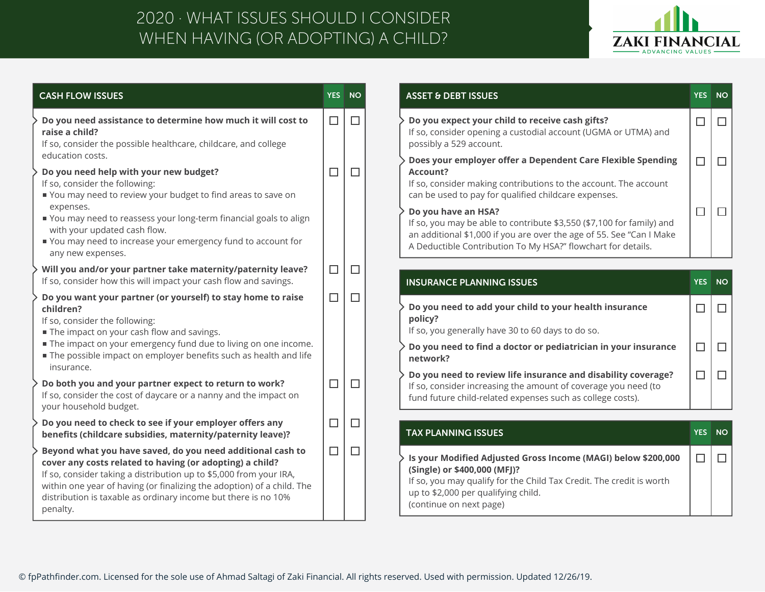## WHEN HAVING (OR ADOPTING) A CHILD? 2020 · WHAT ISSUES SHOULD I CONSIDER



| <b>CASH FLOW ISSUES</b>                                                                                                                                                                                                                                                                                                                              | <b>YES</b> | <b>NO</b> | <b>ASSET &amp; DEBT ISSUES</b>                                                                                                                                                                                                          |
|------------------------------------------------------------------------------------------------------------------------------------------------------------------------------------------------------------------------------------------------------------------------------------------------------------------------------------------------------|------------|-----------|-----------------------------------------------------------------------------------------------------------------------------------------------------------------------------------------------------------------------------------------|
| Do you need assistance to determine how much it will cost to<br>raise a child?<br>If so, consider the possible healthcare, childcare, and college                                                                                                                                                                                                    | $\Box$     | $\Box$    | Do you expect your child to receive cash gifts?<br>If so, consider opening a custodial account (UGMA or UTMA) and<br>possibly a 529 account.                                                                                            |
| education costs.<br>Do you need help with your new budget?<br>If so, consider the following:<br>You may need to review your budget to find areas to save on                                                                                                                                                                                          | $\Box$     | П         | Does your employer offer a Dependent Care Flexible Spending<br><b>Account?</b><br>If so, consider making contributions to the account. The account<br>can be used to pay for qualified childcare expenses.                              |
| expenses.<br>■ You may need to reassess your long-term financial goals to align<br>with your updated cash flow.<br>You may need to increase your emergency fund to account for<br>any new expenses.                                                                                                                                                  |            |           | Do you have an HSA?<br>If so, you may be able to contribute \$3,550 (\$7,100 for family) and<br>an additional \$1,000 if you are over the age of 55. See "Can I Make<br>A Deductible Contribution To My HSA?" flowchart for details.    |
| Will you and/or your partner take maternity/paternity leave?<br>If so, consider how this will impact your cash flow and savings.                                                                                                                                                                                                                     | $\Box$     | $\Box$    | <b>INSURANCE PLANNING ISSUES</b>                                                                                                                                                                                                        |
| Do you want your partner (or yourself) to stay home to raise<br>children?<br>If so, consider the following:<br>The impact on your cash flow and savings.                                                                                                                                                                                             | $\Box$     | П         | Do you need to add your child to your health insurance<br>policy?<br>If so, you generally have 30 to 60 days to do so.                                                                                                                  |
| The impact on your emergency fund due to living on one income.<br>The possible impact on employer benefits such as health and life<br>insurance.                                                                                                                                                                                                     |            |           | Do you need to find a doctor or pediatrician in your insurance<br>network?                                                                                                                                                              |
| Do both you and your partner expect to return to work?<br>If so, consider the cost of daycare or a nanny and the impact on<br>your household budget.                                                                                                                                                                                                 | $\Box$     | П         | Do you need to review life insurance and disability coverage?<br>If so, consider increasing the amount of coverage you need (to<br>fund future child-related expenses such as college costs).                                           |
| Do you need to check to see if your employer offers any<br>benefits (childcare subsidies, maternity/paternity leave)?                                                                                                                                                                                                                                | □          | □         | <b>TAX PLANNING ISSUES</b>                                                                                                                                                                                                              |
| Beyond what you have saved, do you need additional cash to<br>cover any costs related to having (or adopting) a child?<br>If so, consider taking a distribution up to \$5,000 from your IRA,<br>within one year of having (or finalizing the adoption) of a child. The<br>distribution is taxable as ordinary income but there is no 10%<br>penalty. | $\Box$     | H         | Is your Modified Adjusted Gross Income (MAGI) below \$200,000<br>(Single) or \$400,000 (MFJ)?<br>If so, you may qualify for the Child Tax Credit. The credit is worth<br>up to \$2,000 per qualifying child.<br>(continue on next page) |